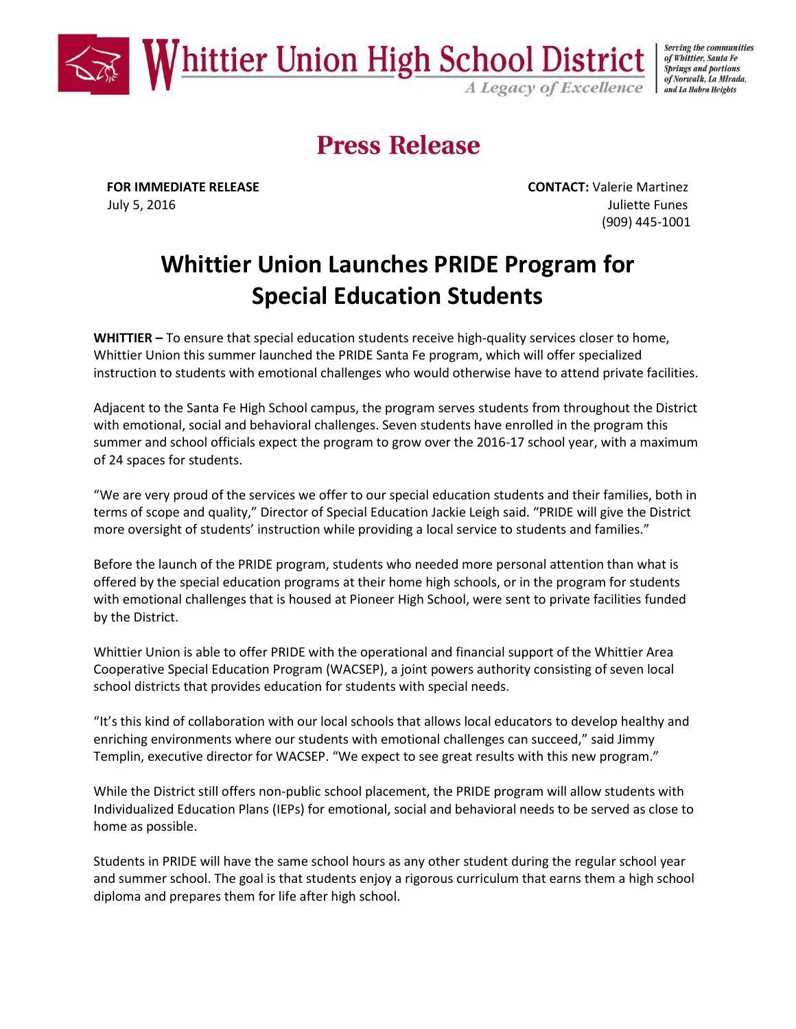

Serving the communities of Whittier, Santa Fe **Springs and portions** of Norwalk, La Mirada, and La Habra Heights

## **Press Release**

**FOR IMMEDIATE RELEASE CONTACT:** Valerie Martinez July 5, 2016 Juliette Funes (909) 445-1001

## **Whittier Union Launches PRIDE Program for Special Education Students**

**WHITTIER –** To ensure that special education students receive high-quality services closer to home, Whittier Union this summer launched the PRIDE Santa Fe program, which will offer specialized instruction to students with emotional challenges who would otherwise have to attend private facilities.

Adjacent to the Santa Fe High School campus, the program serves students from throughout the District with emotional, social and behavioral challenges. Seven students have enrolled in the program this summer and school officials expect the program to grow over the 2016-17 school year, with a maximum of 24 spaces for students.

"We are very proud of the services we offer to our special education students and their families, both in terms of scope and quality," Director of Special Education Jackie Leigh said. "PRIDE will give the District more oversight of students' instruction while providing a local service to students and families."

Before the launch of the PRIDE program, students who needed more personal attention than what is offered by the special education programs at their home high schools, or in the program for students with emotional challenges that is housed at Pioneer High School, were sent to private facilities funded by the District.

Whittier Union is able to offer PRIDE with the operational and financial support of the Whittier Area Cooperative Special Education Program (WACSEP), a joint powers authority consisting of seven local school districts that provides education for students with special needs.

"It's this kind of collaboration with our local schools that allows local educators to develop healthy and enriching environments where our students with emotional challenges can succeed," said Jimmy Templin, executive director for WACSEP. "We expect to see great results with this new program."

While the District still offers non-public school placement, the PRIDE program will allow students with Individualized Education Plans (IEPs) for emotional, social and behavioral needs to be served as close to home as possible.

Students in PRIDE will have the same school hours as any other student during the regular school year and summer school. The goal is that students enjoy a rigorous curriculum that earns them a high school diploma and prepares them for life after high school.